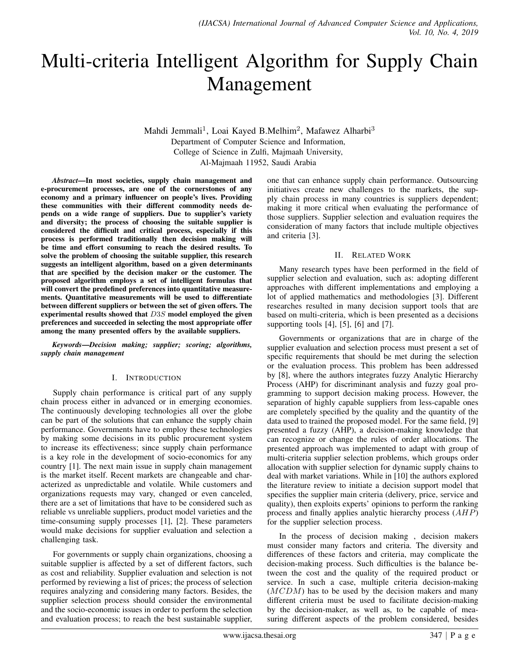# Multi-criteria Intelligent Algorithm for Supply Chain Management

Mahdi Jemmali<sup>1</sup>, Loai Kayed B.Melhim<sup>2</sup>, Mafawez Alharbi<sup>3</sup> Department of Computer Science and Information, College of Science in Zulfi, Majmaah University, Al-Majmaah 11952, Saudi Arabia

*Abstract*—In most societies, supply chain management and e-procurement processes, are one of the cornerstones of any economy and a primary influencer on people's lives. Providing these communities with their different commodity needs depends on a wide range of suppliers. Due to supplier's variety and diversity; the process of choosing the suitable supplier is considered the difficult and critical process, especially if this process is performed traditionally then decision making will be time and effort consuming to reach the desired results. To solve the problem of choosing the suitable supplier, this research suggests an intelligent algorithm, based on a given determinants that are specified by the decision maker or the customer. The proposed algorithm employs a set of intelligent formulas that will convert the predefined preferences into quantitative measurements. Quantitative measurements will be used to differentiate between different suppliers or between the set of given offers. The experimental results showed that D3S model employed the given preferences and succeeded in selecting the most appropriate offer among the many presented offers by the available suppliers.

*Keywords*—*Decision making; supplier; scoring; algorithms, supply chain management*

### I. INTRODUCTION

Supply chain performance is critical part of any supply chain process either in advanced or in emerging economies. The continuously developing technologies all over the globe can be part of the solutions that can enhance the supply chain performance. Governments have to employ these technologies by making some decisions in its public procurement system to increase its effectiveness; since supply chain performance is a key role in the development of socio-economics for any country [1]. The next main issue in supply chain management is the market itself. Recent markets are changeable and characterized as unpredictable and volatile. While customers and organizations requests may vary, changed or even canceled, there are a set of limitations that have to be considered such as reliable vs unreliable suppliers, product model varieties and the time-consuming supply processes [1], [2]. These parameters would make decisions for supplier evaluation and selection a challenging task.

For governments or supply chain organizations, choosing a suitable supplier is affected by a set of different factors, such as cost and reliability. Supplier evaluation and selection is not performed by reviewing a list of prices; the process of selection requires analyzing and considering many factors. Besides, the supplier selection process should consider the environmental and the socio-economic issues in order to perform the selection and evaluation process; to reach the best sustainable supplier, one that can enhance supply chain performance. Outsourcing initiatives create new challenges to the markets, the supply chain process in many countries is suppliers dependent; making it more critical when evaluating the performance of those suppliers. Supplier selection and evaluation requires the consideration of many factors that include multiple objectives and criteria [3].

#### II. RELATED WORK

Many research types have been performed in the field of supplier selection and evaluation, such as: adopting different approaches with different implementations and employing a lot of applied mathematics and methodologies [3]. Different researches resulted in many decision support tools that are based on multi-criteria, which is been presented as a decisions supporting tools [4], [5], [6] and [7].

Governments or organizations that are in charge of the supplier evaluation and selection process must present a set of specific requirements that should be met during the selection or the evaluation process. This problem has been addressed by [8], where the authors integrates fuzzy Analytic Hierarchy Process (AHP) for discriminant analysis and fuzzy goal programming to support decision making process. However, the separation of highly capable suppliers from less-capable ones are completely specified by the quality and the quantity of the data used to trained the proposed model. For the same field, [9] presented a fuzzy (AHP), a decision-making knowledge that can recognize or change the rules of order allocations. The presented approach was implemented to adapt with group of multi-criteria supplier selection problems, which groups order allocation with supplier selection for dynamic supply chains to deal with market variations. While in [10] the authors explored the literature review to initiate a decision support model that specifies the supplier main criteria (delivery, price, service and quality), then exploits experts' opinions to perform the ranking process and finally applies analytic hierarchy process (AHP) for the supplier selection process.

In the process of decision making , decision makers must consider many factors and criteria. The diversity and differences of these factors and criteria, may complicate the decision-making process. Such difficulties is the balance between the cost and the quality of the required product or service. In such a case, multiple criteria decision-making  $(MCDM)$  has to be used by the decision makers and many different criteria must be used to facilitate decision-making by the decision-maker, as well as, to be capable of measuring different aspects of the problem considered, besides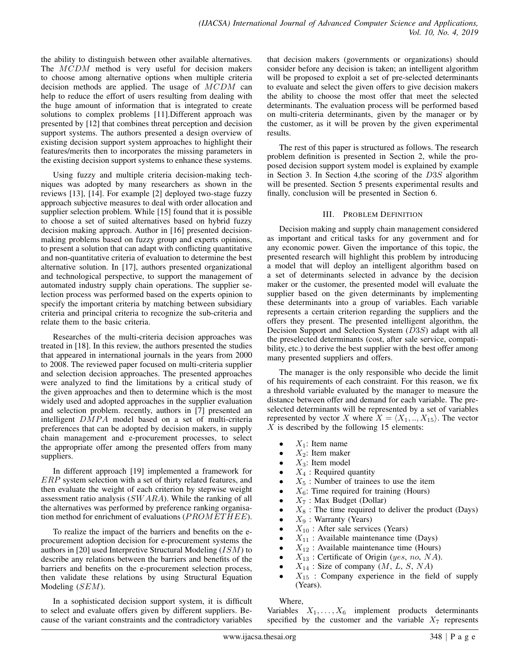the ability to distinguish between other available alternatives. The MCDM method is very useful for decision makers to choose among alternative options when multiple criteria decision methods are applied. The usage of MCDM can help to reduce the effort of users resulting from dealing with the huge amount of information that is integrated to create solutions to complex problems [11].Different approach was presented by [12] that combines threat perception and decision support systems. The authors presented a design overview of existing decision support system approaches to highlight their features/merits then to incorporates the missing parameters in the existing decision support systems to enhance these systems.

Using fuzzy and multiple criteria decision-making techniques was adopted by many researchers as shown in the reviews [13], [14]. For example [2] deployed two-stage fuzzy approach subjective measures to deal with order allocation and supplier selection problem. While [15] found that it is possible to choose a set of suited alternatives based on hybrid fuzzy decision making approach. Author in [16] presented decisionmaking problems based on fuzzy group and experts opinions, to present a solution that can adapt with conflicting quantitative and non-quantitative criteria of evaluation to determine the best alternative solution. In [17], authors presented organizational and technological perspective, to support the management of automated industry supply chain operations. The supplier selection process was performed based on the experts opinion to specify the important criteria by matching between subsidiary criteria and principal criteria to recognize the sub-criteria and relate them to the basic criteria.

Researches of the multi-criteria decision approaches was treated in [18]. In this review, the authors presented the studies that appeared in international journals in the years from 2000 to 2008. The reviewed paper focused on multi-criteria supplier and selection decision approaches. The presented approaches were analyzed to find the limitations by a critical study of the given approaches and then to determine which is the most widely used and adopted approaches in the supplier evaluation and selection problem. recently, authors in [7] presented an intelligent  $DMPA$  model based on a set of multi-criteria preferences that can be adopted by decision makers, in supply chain management and e-procurement processes, to select the appropriate offer among the presented offers from many suppliers.

In different approach [19] implemented a framework for ERP system selection with a set of thirty related features, and then evaluate the weight of each criterion by stepwise weight assessment ratio analysis (SW ARA). While the ranking of all the alternatives was performed by preference ranking organisation method for enrichment of evaluations ( $PROMETHEE$ ).

To realize the impact of the barriers and benefits on the eprocurement adoption decision for e-procurement systems the authors in [20] used Interpretive Structural Modeling  $(ISM)$  to describe any relations between the barriers and benefits of the barriers and benefits on the e-procurement selection process, then validate these relations by using Structural Equation Modeling (SEM).

In a sophisticated decision support system, it is difficult to select and evaluate offers given by different suppliers. Because of the variant constraints and the contradictory variables

that decision makers (governments or organizations) should consider before any decision is taken; an intelligent algorithm will be proposed to exploit a set of pre-selected determinants to evaluate and select the given offers to give decision makers the ability to choose the most offer that meet the selected determinants. The evaluation process will be performed based on multi-criteria determinants, given by the manager or by the customer, as it will be proven by the given experimental results.

The rest of this paper is structured as follows. The research problem definition is presented in Section 2, while the proposed decision support system model is explained by example in Section 3. In Section 4,the scoring of the D3S algorithm will be presented. Section 5 presents experimental results and finally, conclusion will be presented in Section 6.

## III. PROBLEM DEFINITION

Decision making and supply chain management considered as important and critical tasks for any government and for any economic power. Given the importance of this topic, the presented research will highlight this problem by introducing a model that will deploy an intelligent algorithm based on a set of determinants selected in advance by the decision maker or the customer, the presented model will evaluate the supplier based on the given determinants by implementing these determinants into a group of variables. Each variable represents a certain criterion regarding the suppliers and the offers they present. The presented intelligent algorithm, the Decision Support and Selection System (D3S) adapt with all the preselected determinants (cost, after sale service, compatibility, etc.) to derive the best supplier with the best offer among many presented suppliers and offers.

The manager is the only responsible who decide the limit of his requirements of each constraint. For this reason, we fix a threshold variable evaluated by the manager to measure the distance between offer and demand for each variable. The preselected determinants will be represented by a set of variables represented by vector X where  $X = \langle X_1, ..., X_{15} \rangle$ . The vector  $X$  is described by the following 15 elements:

- $X_1$ : Item name
- $X_2$ : Item maker
- $X_3$ : Item model
- $X_4$ : Required quantity
- $X_5$ : Number of trainees to use the item
- $X_6$ : Time required for training (Hours)
- $X_7$ : Max Budget (Dollar)
- $X_8$ : The time required to deliver the product (Days)
- $X_9$ : Warranty (Years)
- $X_{10}$ : After sale services (Years)
- $X_{11}$ : Available maintenance time (Days)
- $X_{12}$ : Available maintenance time (Hours)
- $X_{13}$ : Certificate of Origin (yes, no, NA).
- $X_{14}$ : Size of company  $(M, L, S, NA)$
- $X_{15}$  : Company experience in the field of supply (Years).

Where,

Variables  $X_1, \ldots, X_6$  implement products determinants specified by the customer and the variable  $X_7$  represents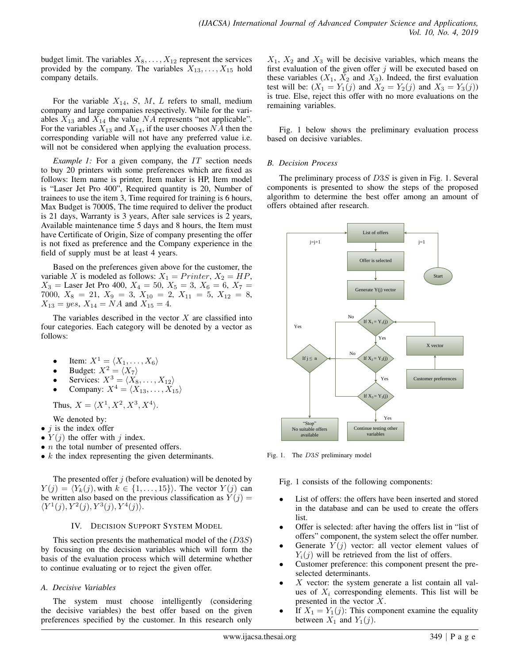budget limit. The variables  $X_8, \ldots, X_{12}$  represent the services provided by the company. The variables  $X_{13}, \ldots, X_{15}$  hold company details.

For the variable  $X_{14}$ , S, M, L refers to small, medium company and large companies respectively. While for the variables  $X_{13}$  and  $X_{14}$  the value NA represents "not applicable". For the variables  $X_{13}$  and  $X_{14}$ , if the user chooses NA then the corresponding variable will not have any preferred value i.e. will not be considered when applying the evaluation process.

*Example 1:* For a given company, the IT section needs to buy 20 printers with some preferences which are fixed as follows: Item name is printer, Item maker is HP, Item model is "Laser Jet Pro 400", Required quantity is 20, Number of trainees to use the item 3, Time required for training is 6 hours, Max Budget is 7000\$, The time required to deliver the product is 21 days, Warranty is 3 years, After sale services is 2 years, Available maintenance time 5 days and 8 hours, the Item must have Certificate of Origin, Size of company presenting the offer is not fixed as preference and the Company experience in the field of supply must be at least 4 years.

Based on the preferences given above for the customer, the variable X is modeled as follows:  $X_1 = Printer, X_2 = HP$ ,  $X_3$  = Laser Jet Pro 400,  $X_4 = 50$ ,  $X_5 = 3$ ,  $X_6 = 6$ ,  $X_7 =$ 7000,  $X_8 = 21$ ,  $X_9 = 3$ ,  $X_{10} = 2$ ,  $X_{11} = 5$ ,  $X_{12} = 8$ ,  $X_{13} = yes, X_{14} = NA$  and  $X_{15} = 4.$ 

The variables described in the vector  $X$  are classified into four categories. Each category will be denoted by a vector as follows:

- Item:  $X^1 = \langle X_1, \ldots, X_6 \rangle$
- Budget:  $X^2 = \langle X_7 \rangle$
- Services:  $X^3 = \langle X_8, \ldots, X_{12} \rangle$
- Company:  $X^4 = \langle X_{13}, \ldots, X_{15} \rangle$

Thus,  $X = \langle X^1, X^2, X^3, X^4 \rangle$ .

We denoted by:

- $j$  is the index offer
- $Y(j)$  the offer with j index.
- $\bullet$  *n* the total number of presented offers.
- $\bullet$  k the index representing the given determinants.

The presented offer  $j$  (before evaluation) will be denoted by  $Y(j) = \langle Y_k(j), \text{with } k \in \{1, \ldots, 15\}\rangle$ . The vector  $Y(j)$  can be written also based on the previous classification as  $Y(j)$  =  $\langle Y^1(j), Y^2(j), Y^3(j), Y^4(j) \rangle$ .

### IV. DECISION SUPPORT SYSTEM MODEL

This section presents the mathematical model of the  $(D3S)$ by focusing on the decision variables which will form the basis of the evaluation process which will determine whether to continue evaluating or to reject the given offer.

### *A. Decisive Variables*

The system must choose intelligently (considering the decisive variables) the best offer based on the given preferences specified by the customer. In this research only

 $X_1$ ,  $X_2$  and  $X_3$  will be decisive variables, which means the first evaluation of the given offer  $j$  will be executed based on these variables  $(X_1, X_2 \text{ and } X_3)$ . Indeed, the first evaluation test will be:  $(X_1 = Y_1(j)$  and  $X_2 = Y_2(j)$  and  $X_3 = Y_3(j)$ ) is true. Else, reject this offer with no more evaluations on the remaining variables.

Fig. 1 below shows the preliminary evaluation process based on decisive variables.

## *B. Decision Process*

The preliminary process of D3S is given in Fig. 1. Several components is presented to show the steps of the proposed algorithm to determine the best offer among an amount of offers obtained after research.



Fig. 1. The D3S preliminary model

Fig. 1 consists of the following components:

- List of offers: the offers have been inserted and stored in the database and can be used to create the offers list.
- Offer is selected: after having the offers list in "list of offers" component, the system select the offer number.
- Generate  $Y(j)$  vector: all vector element values of  $Y_i(j)$  will be retrieved from the list of offers.
- Customer preference: this component present the preselected determinants.
- $X$  vector: the system generate a list contain all values of  $X_i$  corresponding elements. This list will be presented in the vector X.
- If  $X_1 = Y_1(j)$ : This component examine the equality between  $X_1$  and  $Y_1(j)$ .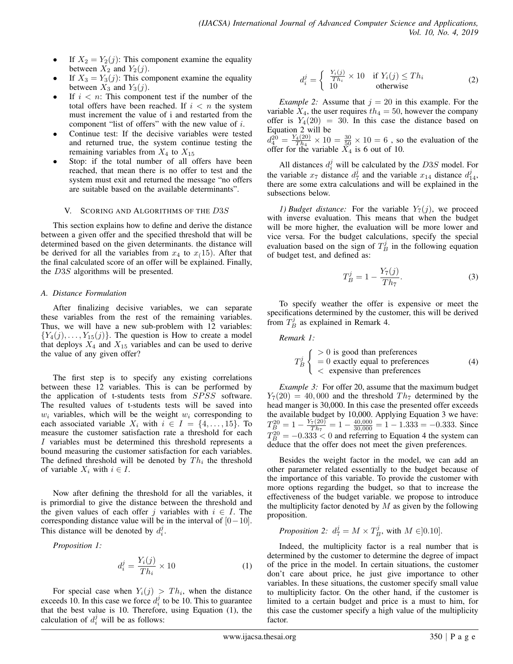- If  $X_2 = Y_2(j)$ : This component examine the equality between  $X_2$  and  $Y_2(j)$ .
- If  $X_3 = Y_3(j)$ : This component examine the equality between  $X_3$  and  $Y_3(j)$ .
- If  $i < n$ : This component test if the number of the total offers have been reached. If  $i < n$  the system must increment the value of i and restarted from the component "list of offers" with the new value of i.
- Continue test: If the decisive variables were tested and returned true, the system continue testing the remaining variables from  $X_4$  to  $X_{15}$
- Stop: if the total number of all offers have been reached, that mean there is no offer to test and the system must exit and returned the message "no offers are suitable based on the available determinants".

#### V. SCORING AND ALGORITHMS OF THE D3S

This section explains how to define and derive the distance between a given offer and the specified threshold that will be determined based on the given determinants. the distance will be derived for all the variables from  $x_4$  to  $x_1(15)$ . After that the final calculated score of an offer will be explained. Finally, the D3S algorithms will be presented.

### *A. Distance Formulation*

After finalizing decisive variables, we can separate these variables from the rest of the remaining variables. Thus, we will have a new sub-problem with 12 variables:  ${Y_4(j), \ldots, Y_{15}(j)}$ . The question is How to create a model that deploys  $X_4$  and  $X_{15}$  variables and can be used to derive the value of any given offer?

The first step is to specify any existing correlations between these 12 variables. This is can be performed by the application of t-students tests from SPSS software. The resulted values of t-students tests will be saved into  $w_i$  variables, which will be the weight  $w_i$  corresponding to each associated variable  $X_i$  with  $i \in I = \{4, \ldots, 15\}$ . To measure the customer satisfaction rate a threshold for each I variables must be determined this threshold represents a bound measuring the customer satisfaction for each variables. The defined threshold will be denoted by  $Th_i$  the threshold of variable  $X_i$  with  $i \in I$ .

Now after defining the threshold for all the variables, it is primordial to give the distance between the threshold and the given values of each offer j variables with  $i \in I$ . The corresponding distance value will be in the interval of  $[0-10]$ . This distance will be denoted by  $d_i^j$ .

*Proposition 1:*

$$
d_i^j = \frac{Y_i(j)}{Th_i} \times 10\tag{1}
$$

For special case when  $Y_i(j) > Th_i$ , when the distance exceeds 10. In this case we force  $d_i^j$  to be 10. This to guarantee that the best value is 10. Therefore, using Equation (1), the calculation of  $d_i^j$  will be as follows:

$$
d_i^j = \begin{cases} \frac{Y_i(j)}{Th_i} \times 10 & \text{if } Y_i(j) \le Th_i \\ 10 & \text{otherwise} \end{cases}
$$
 (2)

*Example 2:* Assume that  $j = 20$  in this example. For the variable  $X_4$ , the user requires  $th_4 = 50$ , however the company offer is  $Y_4(20) = 30$ . In this case the distance based on Equation 2 will be

 $d_4^{20} = \frac{Y_4(20)}{Th_4}$  $\frac{\sqrt{4(20)}}{Th_4} \times 10 = \frac{30}{50} \times 10 = 6$ , so the evaluation of the offer for the variable  $\overline{X}_4$  is 6 out of 10.

All distances  $d_i^j$  will be calculated by the  $D3S$  model. For the variable  $x_7$  distance  $d_7^j$  and the variable  $x_{14}$  distance  $d_{14}^j$ , there are some extra calculations and will be explained in the subsections below.

*1) Budget distance:* For the variable  $Y_7(j)$ , we proceed with inverse evaluation. This means that when the budget will be more higher, the evaluation will be more lower and vice versa. For the budget calculations, specify the special evaluation based on the sign of  $T_B^j$  in the following equation of budget test, and defined as:

$$
T_B^j = 1 - \frac{Y_7(j)}{Th_7}.
$$
 (3)

To specify weather the offer is expensive or meet the specifications determined by the customer, this will be derived from  $T_B^j$  as explained in Remark 4.

*Remark 1:*

$$
T_B^j \begin{cases} > 0 \text{ is good than preferences} \\ = 0 \text{ exactly equal to preferences} \\ < \text{ expensive than preferences} \end{cases} \tag{4}
$$

*Example 3:* For offer 20, assume that the maximum budget  $Y_7(20) = 40,000$  and the threshold  $Th_7$  determined by the head manger is 30,000. In this case the presented offer exceeds the available budget by 10,000. Applying Equation 3 we have:  $T_B^{20} = 1 - \frac{Y_7(20)}{Th_7}$  $\frac{\tau(20)}{Th_7} = 1 - \frac{40,000}{30,000} = 1 - 1.333 = -0.333$ . Since  $T_B^{20} = -0.333 < 0$  and referring to Equation 4 the system can deduce that the offer does not meet the given preferences.

Besides the weight factor in the model, we can add an other parameter related essentially to the budget because of the importance of this variable. To provide the customer with more options regarding the budget, so that to increase the effectiveness of the budget variable. we propose to introduce the multiplicity factor denoted by  $M$  as given by the following proposition.

*Proposition 2:* 
$$
d_7^j = M \times T_B^j
$$
, with  $M \in ]0.10]$ .

Indeed, the multiplicity factor is a real number that is determined by the customer to determine the degree of impact of the price in the model. In certain situations, the customer don't care about price, he just give importance to other variables. In these situations, the customer specify small value to multiplicity factor. On the other hand, if the customer is limited to a certain budget and price is a must to him, for this case the customer specify a high value of the multiplicity factor.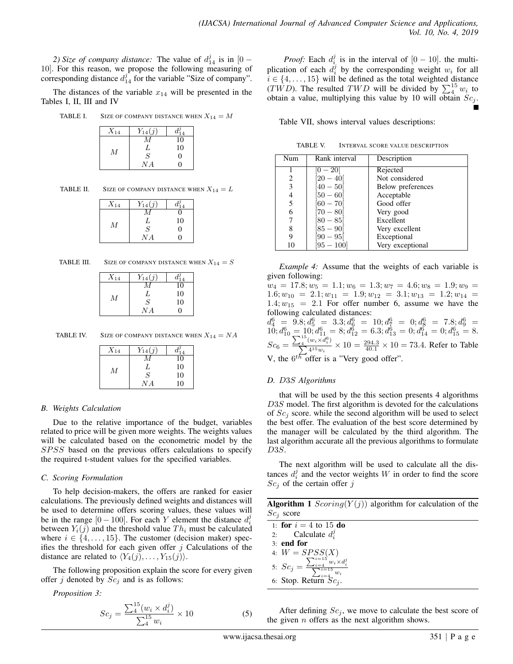2) Size of company distance: The value of  $d_{14}^{j}$  is in  $[0 -$ 10]. For this reason, we propose the following measuring of corresponding distance  $d_{14}^j$  for the variable "Size of company".

The distances of the variable  $x_{14}$  will be presented in the Tables I, II, III and IV

TABLE I. SIZE OF COMPANY DISTANCE WHEN  $X_{14} = M$ 

| $X_{14}$       | $Y_{14}(j)$   |                   |
|----------------|---------------|-------------------|
|                |               | 10                |
| $\overline{M}$ | L             | 10                |
|                | $\mathcal{S}$ | $\mathbf{\Omega}$ |
|                | N A           | וו                |

| TABLE II. |  | SIZE OF COMPANY DISTANCE WHEN $X_{14}=L$ |  |
|-----------|--|------------------------------------------|--|
|           |  |                                          |  |

| $X_{14}$ | $Y_{14}(j)$    |                   |
|----------|----------------|-------------------|
|          |                | U                 |
| М        | L              | 10                |
|          | $\overline{S}$ | $\mathbf{\Omega}$ |
|          | N A            | 0                 |

| SIZE OF COMPANY DISTANCE WHEN $X_{14} = S$<br>TABLE III. |  |
|----------------------------------------------------------|--|
|----------------------------------------------------------|--|

| $X_{14}$ | $Y_{14}(j)$    |    |
|----------|----------------|----|
|          |                | 10 |
| М        | L              | 10 |
|          | $\overline{S}$ | 10 |
|          | N A            | 0  |

TABLE IV. SIZE OF COMPANY DISTANCE WHEN  $X_{14} = NA$ 

| $X_{14}$ | $Y_{14}(j)$ |    |
|----------|-------------|----|
|          |             | 10 |
| М        | L           | 10 |
|          | S           | 10 |
|          | N A         | 10 |

# *B. Weights Calculation*

Due to the relative importance of the budget, variables related to price will be given more weights. The weights values will be calculated based on the econometric model by the SPSS based on the previous offers calculations to specify the required t-student values for the specified variables.

# *C. Scoring Formulation*

To help decision-makers, the offers are ranked for easier calculations. The previously defined weights and distances will be used to determine offers scoring values, these values will be in the range  $[0 - 100]$ . For each Y element the distance  $d_i^j$ between  $Y_i(j)$  and the threshold value  $Th_i$  must be calculated where  $i \in \{4, \ldots, 15\}$ . The customer (decision maker) specifies the threshold for each given offer  $j$  Calculations of the distance are related to  $\langle Y_4(j), \ldots, Y_{15}(j)\rangle$ .

The following proposition explain the score for every given offer j denoted by  $Sc_j$  and is as follows:

*Proposition 3:*

$$
Sc_j = \frac{\sum_{4}^{15} (w_i \times d_i^j)}{\sum_{4}^{15} w_i} \times 10
$$
 (5)

*Proof:* Each  $d_i^j$  is in the interval of  $[0 - 10]$ . the multiplication of each  $d_i^j$  by the corresponding weight  $w_i$  for all  $i \in \{4, \ldots, 15\}$  will be defined as the total weighted distance (TWD). The resulted TWD will be divided by  $\sum_{i=1}^{15} w_i$  to obtain a value, multiplying this value by 10 will obtain  $Sc_j$ .

Table VII, shows interval values descriptions:

TABLE V. INTERVAL SCORE VALUE DESCRIPTION

| Num | Rank interval | Description       |
|-----|---------------|-------------------|
|     | $[0-20]$      | Rejected          |
| 2   | $20 - 40$     | Not considered    |
| 3   | $40 - 50$     | Below preferences |
| 4   | $50 - 60$     | Acceptable        |
| 5   | $60 - 70$     | Good offer        |
| 6   | $[70-80]$     | Very good         |
|     | $[80 - 85]$   | Excellent         |
| 8   | $ 85 - 90 $   | Very excellent    |
| 9   | $ 90 - 95 $   | Exceptional       |
| 10  | $[95 - 100]$  | Very exceptional  |

*Example 4:* Assume that the weights of each variable is given following:

 $w_4 = 17.8; w_5 = 1.1; w_6 = 1.3; w_7 = 4.6; w_8 = 1.9; w_9 = 0.05$  $1.6; w_{10} = 2.1; w_{11} = 1.9; w_{12} = 3.1; w_{13} = 1.2; w_{14} =$  $1.4; w_{15} = 2.1$  For offer number 6, assume we have the following calculated distances:  $d_4^6 = 9.8; d_5^6 = 3.3; d_6^6 = 10; d_7^6 = 0; d_8^6 = 7.8; d_9^6 =$  $10; d_{10}^6 = 10; d_{11}^6 = 8; d_{12}^6 = 6.3; d_{13}^6 = 0; d_{14}^6 = 0; d_{15}^6 = 8.$ 

 $Sc_6 = \frac{\sum_{4}^{15} (w_i \times d_i^6)}{\sum_{4}^{15} w_i}$ )  $\frac{w_i \times a_i}{4^{15} w_i} \times 10 = \frac{294.3}{40.1} \times 10 = 73.4$ . Refer to Table V, the  $6^{th}$  offer is a "Very good offer".

# *D.* D3S *Algorithms*

that will be used by the this section presents 4 algorithms D3S model. The first algorithm is devoted for the calculations of  $Sc<sub>i</sub>$  score. while the second algorithm will be used to select the best offer. The evaluation of the best score determined by the manager will be calculated by the third algorithm. The last algorithm accurate all the previous algorithms to formulate D3S.

The next algorithm will be used to calculate all the distances  $d_i^j$  and the vector weights W in order to find the score  $Sc<sub>j</sub>$  of the certain offer j

|             | <b>Algorithm 1</b> Scoring( $Y(j)$ ) algorithm for calculation of the |  |  |  |
|-------------|-----------------------------------------------------------------------|--|--|--|
| $Sci$ score |                                                                       |  |  |  |

1: **for**  $i = 4$  to 15 **do** 2: Calculate  $d_i^j$ 3: end for 4:  $W = SPSS(X)$ 5:  $Sc_j = \frac{\sum_{i=4}^{i=15} w_i \times d_i^j}{\sum_{i=4}^{i=15} w_i}$ 6: Stop. Return  $Sc_j$ .

After defining  $Sc_j$ , we move to calculate the best score of the given  $n$  offers as the next algorithm shows.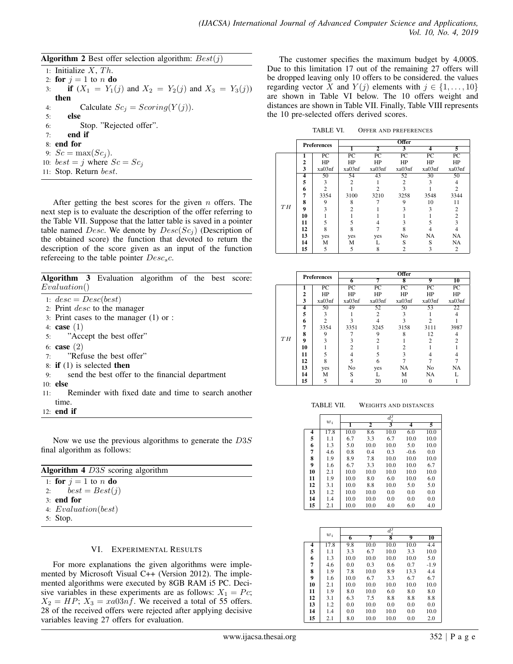**Algorithm 2** Best offer selection algorithm:  $Best(j)$ 

1: Initialize  $X$ ,  $Th$ . 2: for  $j = 1$  to n do 3: **if**  $(X_1 = Y_1(j)$  and  $X_2 = Y_2(j)$  and  $X_3 = Y_3(j)$ ) then 4: Calculate  $Sc_j = Scoring(Y(j)).$ 5: else 6: Stop. "Rejected offer". 7: end if 8: end for 9:  $Sc = \max(Sc_i)$ . 10:  $best = j$  where  $Sc = Sc<sub>j</sub>$ 11: Stop. Return best.

After getting the best scores for the given  $n$  offers. The next step is to evaluate the description of the offer referring to the Table VII. Suppose that the latter table is saved in a pointer table named Desc. We denote by  $Desc(Sc<sub>i</sub>)$  (Description of the obtained score) the function that devoted to return the description of the score given as an input of the function refereeing to the table pointer  $Desc<sub>s</sub>c$ .

| Algorithm 3 Evaluation algorithm of the best score: |  |  |  |  |
|-----------------------------------------------------|--|--|--|--|
| Evaluation()                                        |  |  |  |  |

1:  $desc = Desc(best)$ 

- 2: Print desc to the manager
- 3: Print cases to the manager (1) or :
- 4: **case**  $(1)$
- 5: "Accept the best offer"
- 6: case (2)
- 7: "Refuse the best offer"
- 8: if (1) is selected then
- 9: send the best offer to the financial department
- 10: else
- 11: Reminder with fixed date and time to search another time.
- 12: end if

Now we use the previous algorithms to generate the D3S final algorithm as follows:

| <b>Algorithm 4</b> $D3S$ scoring algorithm |  |  |  |  |  |
|--------------------------------------------|--|--|--|--|--|
| 1: for $j = 1$ to n do                     |  |  |  |  |  |
| 2: $best = Best(j)$                        |  |  |  |  |  |
| $31$ end for                               |  |  |  |  |  |
| 4: $Evaluation(best)$                      |  |  |  |  |  |
| 5: Stop.                                   |  |  |  |  |  |

#### VI. EXPERIMENTAL RESULTS

For more explanations the given algorithms were implemented by Microsoft Visual C++ (Version 2012). The implemented algorithms were executed by 8GB RAM i5 PC. Decisive variables in these experiments are as follows:  $X_1 = Pc$ ;  $X_2 = HP$ ;  $X_3 = xa03nf$ . We received a total of 55 offers. 28 of the received offers were rejected after applying decisive variables leaving 27 offers for evaluation.

The customer specifies the maximum budget by 4,000\$. Due to this limitation 17 out of the remaining 27 offers will be dropped leaving only 10 offers to be considered. the values regarding vector X and  $Y(j)$  elements with  $j \in \{1, \ldots, 10\}$ are shown in Table VI below. The 10 offers weight and distances are shown in Table VII. Finally, Table VIII represents the 10 pre-selected offers derived scores.

TABLE VI. OFFER AND PREFERENCES

|    | <b>Preferences</b> |                 |        |                             | <b>Offer</b>    |        |                |
|----|--------------------|-----------------|--------|-----------------------------|-----------------|--------|----------------|
|    |                    |                 |        | $\overline{2}$              | 3               | 4      | 5              |
|    | 1                  | $\overline{PC}$ | PC     | PC                          | $\overline{PC}$ | PC     | PC             |
|    | $\overline{2}$     | HP              | HP     | HP                          | HP              | HP     | HP             |
|    | 3                  | xa03nf          | xa03nf | xa03nf                      | xa03nf          | xa03nf | xa03nf         |
|    | 4                  | 50              | 54     | 43                          | 52              | 30     | 50             |
|    | 5                  | 3               | 2      |                             | 2               | 3      | 4              |
|    | 6                  | $\overline{c}$  |        | $\mathcal{D}_{\mathcal{A}}$ | 3               |        | $\mathfrak{D}$ |
|    | 7                  | 3354            | 3100   | 3210                        | 3258            | 3548   | 3344           |
|    | 8                  | 9               | 8      |                             | 9               | 10     | 11             |
| TH | 9                  | 3               |        |                             |                 | 3      | 2              |
|    | 10                 |                 |        |                             |                 |        | $\mathfrak{D}$ |
|    | 11                 | 5               | 5      |                             |                 |        | 3              |
|    | 12                 | 8               | 8      |                             | 8               |        | 4              |
|    | 13                 | yes             | yes    | yes                         | No              | NA     | NA             |
|    | 14                 | M               | м      |                             | S               | S      | NA             |
|    | 15                 | 5               | 5      | 8                           |                 | ٩      | 2              |

|    | <b>Preferences</b> |        |        |        | <b>Offer</b> |        |           |
|----|--------------------|--------|--------|--------|--------------|--------|-----------|
|    |                    |        | 6      |        | 8            | 9      | 10        |
|    |                    | PC     | PC     | PC     | PC           | PC     | PC        |
|    | 2                  | HP     | HP     | HP     | HP           | HP     | HP        |
|    | 3                  | xa03nf | xa03nf | xa03nf | xa03nf       | xa03nf | xa03nf    |
|    | 4                  | 50     | 49     | 52     | 50           | 53     | 22        |
|    | 5                  | 3      |        | 2      |              |        |           |
|    | 6                  | っ      |        |        |              |        |           |
|    | 7                  | 3354   | 3351   | 3245   | 3158         | 3111   | 3987      |
|    | 8                  | 9      |        | Q      | 8            | 12     |           |
| TH | 9                  |        |        |        |              |        |           |
|    | 10                 |        |        |        |              |        |           |
|    | 11                 |        |        |        |              |        |           |
|    | 12                 |        |        | 6      |              |        |           |
|    | 13                 | yes    | No     | yes    | <b>NA</b>    | No     | <b>NA</b> |
|    | 14                 | M      | S      |        | M            | NA     |           |
|    | 15                 | 5      |        | 20     | 10           |        |           |

TABLE VII. WEIGHTS AND DISTANCES

 $w_i$ 

| 4  | 17.8 | 10.0 | 8.6  | 10.0 | 6.0    | 10.0 |
|----|------|------|------|------|--------|------|
| 5  | 1.1  | 6.7  | 3.3  | 6.7  | 10.0   | 10.0 |
| 6  | 1.3  | 5.0  | 10.0 | 10.0 | 5.0    | 10.0 |
| 7  | 4.6  | 0.8  | 0.4  | 0.3  | $-0.6$ | 0.0  |
| 8  | 1.9  | 8.9  | 7.8  | 10.0 | 10.0   | 10.0 |
| 9  | 1.6  | 6.7  | 3.3  | 10.0 | 10.0   | 6.7  |
| 10 | 2.1  | 10.0 | 10.0 | 10.0 | 10.0   | 10.0 |
| 11 | 1.9  | 10.0 | 8.0  | 6.0  | 10.0   | 6.0  |
| 12 | 3.1  | 10.0 | 8.8  | 10.0 | 5.0    | 5.0  |
| 13 | 1.2  | 10.0 | 10.0 | 0.0  | 0.0    | 0.0  |
| 14 | 1.4  | 10.0 | 10.0 | 0.0  | 0.0    | 0.0  |
| 15 | 2.1  | 10.0 | 10.0 | 4.0  | 6.0    | 4.0  |

|    | $w_i$ |      |      | $d^{\jmath}$ |      |                 |
|----|-------|------|------|--------------|------|-----------------|
|    |       | 6    | 7    | 8            | 9    | $\overline{10}$ |
| 4  | 17.8  | 9.8  | 10.0 | 10.0         | 10.0 | 4.4             |
| 5  | 1.1   | 3.3  | 6.7  | 10.0         | 3.3  | 10.0            |
| 6  | 1.3   | 10.0 | 10.0 | 10.0         | 10.0 | 5.0             |
| 7  | 4.6   | 0.0  | 0.3  | 0.6          | 0.7  | $-1.9$          |
| 8  | 1.9   | 7.8  | 10.0 | 8.9          | 13.3 | 4.4             |
| 9  | 1.6   | 10.0 | 6.7  | 3.3          | 6.7  | 6.7             |
| 10 | 2.1   | 10.0 | 10.0 | 10.0         | 10.0 | 10.0            |
| 11 | 1.9   | 8.0  | 10.0 | 6.0          | 8.0  | 8.0             |
| 12 | 3.1   | 6.3  | 7.5  | 8.8          | 8.8  | 8.8             |
| 13 | 1.2   | 0.0  | 10.0 | 0.0          | 0.0  | 0.0             |
| 14 | 1.4   | 0.0  | 10.0 | 10.0         | 0.0  | 10.0            |
| 15 | 2.1   | 8.0  | 10.0 | 10.0         | 0.0  | 2.0             |